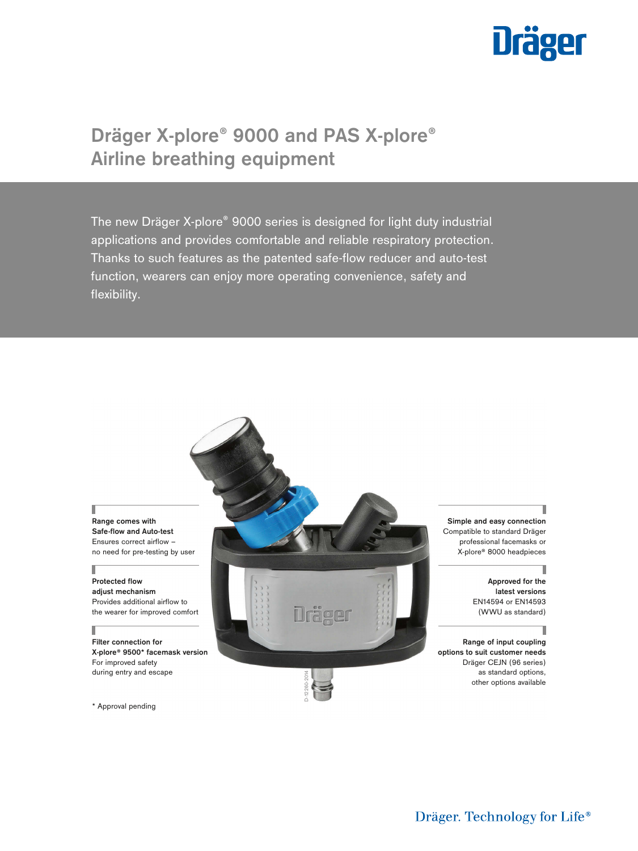

# **Dräger X-plore® 9000 and PAS X-plore® Airline breathing equipment**

The new Dräger X-plore® 9000 series is designed for light duty industrial applications and provides comfortable and reliable respiratory protection. Thanks to such features as the patented safe-flow reducer and auto-test function, wearers can enjoy more operating convenience, safety and flexibility.



\* Approval pending

Dräger. Technology for Life®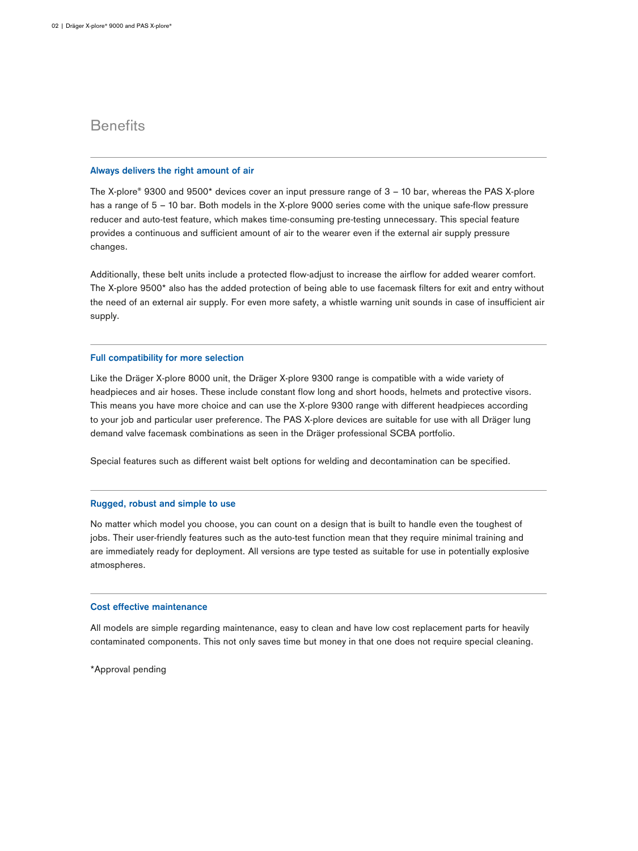# **Benefits**

### **Always delivers the right amount of air**

The X-plore® 9300 and 9500\* devices cover an input pressure range of 3 – 10 bar, whereas the PAS X-plore has a range of 5 – 10 bar. Both models in the X-plore 9000 series come with the unique safe-flow pressure reducer and auto-test feature, which makes time-consuming pre-testing unnecessary. This special feature provides a continuous and sufficient amount of air to the wearer even if the external air supply pressure changes.

Additionally, these belt units include a protected flow-adjust to increase the airflow for added wearer comfort. The X-plore 9500\* also has the added protection of being able to use facemask filters for exit and entry without the need of an external air supply. For even more safety, a whistle warning unit sounds in case of insufficient air supply.

### **Full compatibility for more selection**

Like the Dräger X-plore 8000 unit, the Dräger X-plore 9300 range is compatible with a wide variety of headpieces and air hoses. These include constant flow long and short hoods, helmets and protective visors. This means you have more choice and can use the X-plore 9300 range with different headpieces according to your job and particular user preference. The PAS X-plore devices are suitable for use with all Dräger lung demand valve facemask combinations as seen in the Dräger professional SCBA portfolio.

Special features such as different waist belt options for welding and decontamination can be specified.

### **Rugged, robust and simple to use**

No matter which model you choose, you can count on a design that is built to handle even the toughest of jobs. Their user-friendly features such as the auto-test function mean that they require minimal training and are immediately ready for deployment. All versions are type tested as suitable for use in potentially explosive atmospheres.

### **Cost effective maintenance**

All models are simple regarding maintenance, easy to clean and have low cost replacement parts for heavily contaminated components. This not only saves time but money in that one does not require special cleaning.

\*Approval pending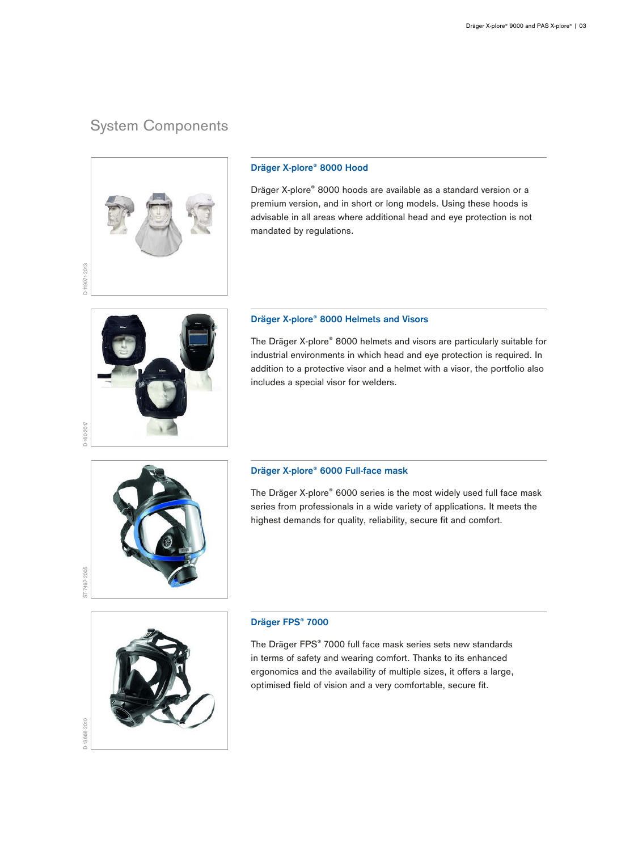# System Components



### **Dräger X-plore® 8000 Hood**

Dräger X-plore® 8000 hoods are available as a standard version or a premium version, and in short or long models. Using these hoods is advisable in all areas where additional head and eye protection is not mandated by regulations.

## **Dräger X-plore® 8000 Helmets and Visors**

The Dräger X-plore® 8000 helmets and visors are particularly suitable for industrial environments in which head and eye protection is required. In addition to a protective visor and a helmet with a visor, the portfolio also includes a special visor for welders.



D-160-2017

## **Dräger X-plore® 6000 Full-face mask**

The Dräger X-plore® 6000 series is the most widely used full face mask series from professionals in a wide variety of applications. It meets the highest demands for quality, reliability, secure fit and comfort.



### **Dräger FPS® 7000**

The Dräger FPS® 7000 full face mask series sets new standards in terms of safety and wearing comfort. Thanks to its enhanced ergonomics and the availability of multiple sizes, it offers a large, optimised field of vision and a very comfortable, secure fit.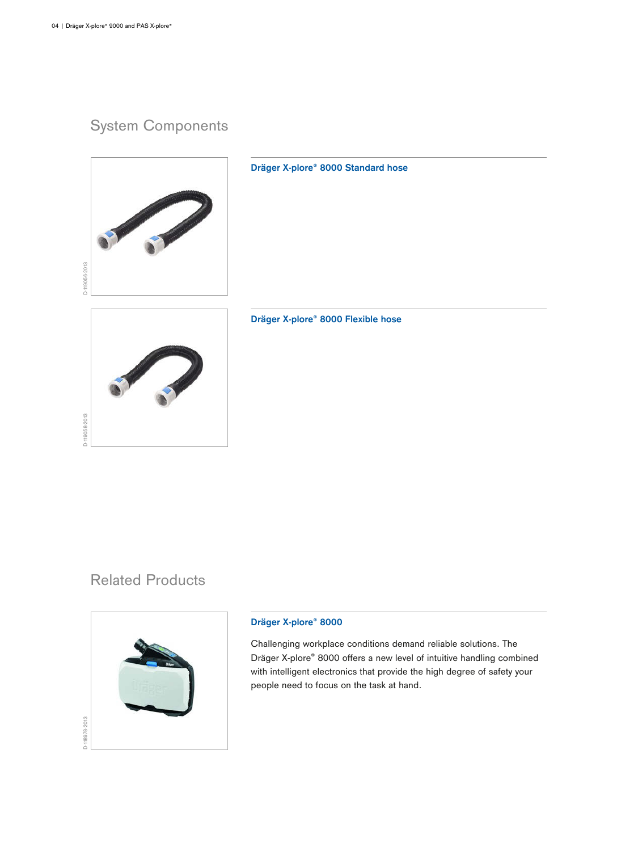# System Components



**Dräger X-plore® 8000 Standard hose**



## **Dräger X-plore® 8000 Flexible hose**

# Related Products



## **Dräger X-plore® 8000**

Challenging workplace conditions demand reliable solutions. The Dräger X-plore® 8000 offers a new level of intuitive handling combined with intelligent electronics that provide the high degree of safety your people need to focus on the task at hand.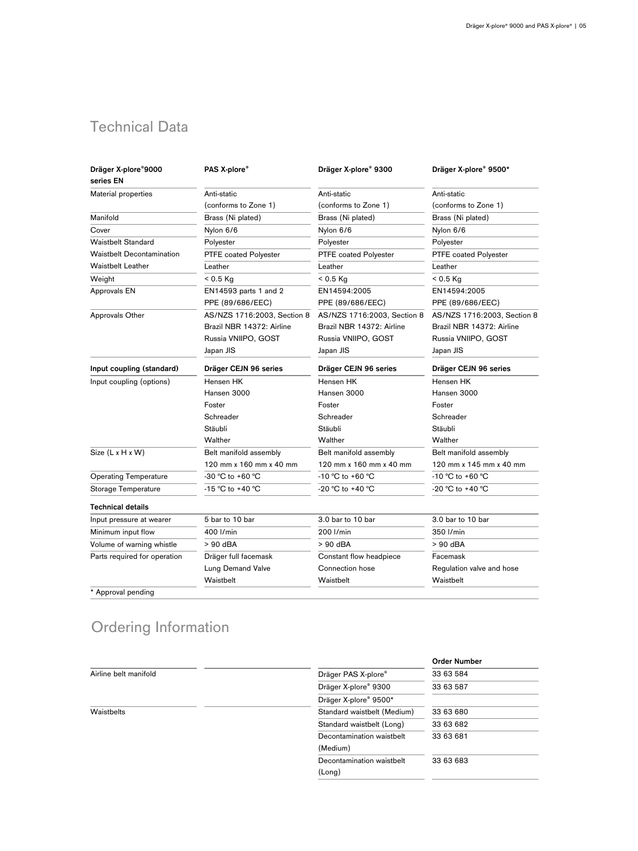# Technical Data

| Dräger X-plore®9000<br>series EN | PAS X-plore®                | Dräger X-plore® 9300        | Dräger X-plore® 9500*       |
|----------------------------------|-----------------------------|-----------------------------|-----------------------------|
| Material properties              | Anti-static                 | Anti-static                 | Anti-static                 |
|                                  | (conforms to Zone 1)        | (conforms to Zone 1)        | (conforms to Zone 1)        |
| Manifold                         | Brass (Ni plated)           | Brass (Ni plated)           | Brass (Ni plated)           |
| Cover                            | Nylon 6/6                   | Nylon 6/6                   | Nylon 6/6                   |
| <b>Waistbelt Standard</b>        | Polyester                   | Polyester                   | Polyester                   |
| Waistbelt Decontamination        | PTFE coated Polyester       | PTFE coated Polyester       | PTFE coated Polyester       |
| <b>Waistbelt Leather</b>         | Leather                     | Leather                     | Leather                     |
| Weight                           | $< 0.5$ Kg                  | $< 0.5$ Kg                  | $< 0.5$ Kg                  |
| Approvals EN                     | EN14593 parts 1 and 2       | EN14594:2005                | EN14594:2005                |
|                                  | PPE (89/686/EEC)            | PPE (89/686/EEC)            | PPE (89/686/EEC)            |
| <b>Approvals Other</b>           | AS/NZS 1716:2003, Section 8 | AS/NZS 1716:2003, Section 8 | AS/NZS 1716:2003, Section 8 |
|                                  | Brazil NBR 14372: Airline   | Brazil NBR 14372: Airline   | Brazil NBR 14372: Airline   |
|                                  | Russia VNIIPO, GOST         | Russia VNIIPO, GOST         | Russia VNIIPO, GOST         |
|                                  | Japan JIS                   | Japan JIS                   | Japan JIS                   |
| Input coupling (standard)        | Dräger CEJN 96 series       | Dräger CEJN 96 series       | Dräger CEJN 96 series       |
| Input coupling (options)         | Hensen HK                   | Hensen HK                   | Hensen HK                   |
|                                  | Hansen 3000                 | Hansen 3000                 | Hansen 3000                 |
|                                  | Foster                      | Foster                      | Foster                      |
|                                  | Schreader                   | Schreader                   | Schreader                   |
|                                  | Stäubli                     | Stäubli                     | Stäubli                     |
|                                  | Walther                     | Walther                     | Walther                     |
| Size (L x H x W)                 | Belt manifold assembly      | Belt manifold assembly      | Belt manifold assembly      |
|                                  | 120 mm x 160 mm x 40 mm     | 120 mm x 160 mm x 40 mm     | 120 mm x 145 mm x 40 mm     |
| <b>Operating Temperature</b>     | -30 °C to +60 °C            | -10 ℃ to +60 ℃              | $-10 °C$ to $+60 °C$        |
| Storage Temperature              | -15 °C to +40 °C            | -20 °C to +40 °C            | -20 °C to +40 °C            |
| <b>Technical details</b>         |                             |                             |                             |
| Input pressure at wearer         | 5 bar to 10 bar             | 3.0 bar to 10 bar           | 3.0 bar to 10 bar           |
| Minimum input flow               | 400 l/min                   | 200 l/min                   | 350 l/min                   |
| Volume of warning whistle        | > 90 dBA                    | > 90 dBA                    | > 90 dBA                    |
| Parts required for operation     | Dräger full facemask        | Constant flow headpiece     | Facemask                    |
|                                  | Lung Demand Valve           | Connection hose             | Regulation valve and hose   |
|                                  | Waistbelt                   | Waistbelt                   | Waistbelt                   |
| * Approval pending               |                             |                             |                             |

# Ordering Information

|                       |                             | <b>Order Number</b> |  |
|-----------------------|-----------------------------|---------------------|--|
| Airline belt manifold | Dräger PAS X-plore®         | 33 63 584           |  |
|                       | Dräger X-plore® 9300        | 33 63 587           |  |
|                       | Dräger X-plore® 9500*       |                     |  |
| Waistbelts            | Standard waistbelt (Medium) | 33 63 680           |  |
|                       | Standard waistbelt (Long)   | 33 63 682           |  |
|                       | Decontamination waistbelt   | 33 63 681           |  |
|                       | (Medium)                    |                     |  |
|                       | Decontamination waistbelt   | 33 63 683           |  |
|                       | (Long)                      |                     |  |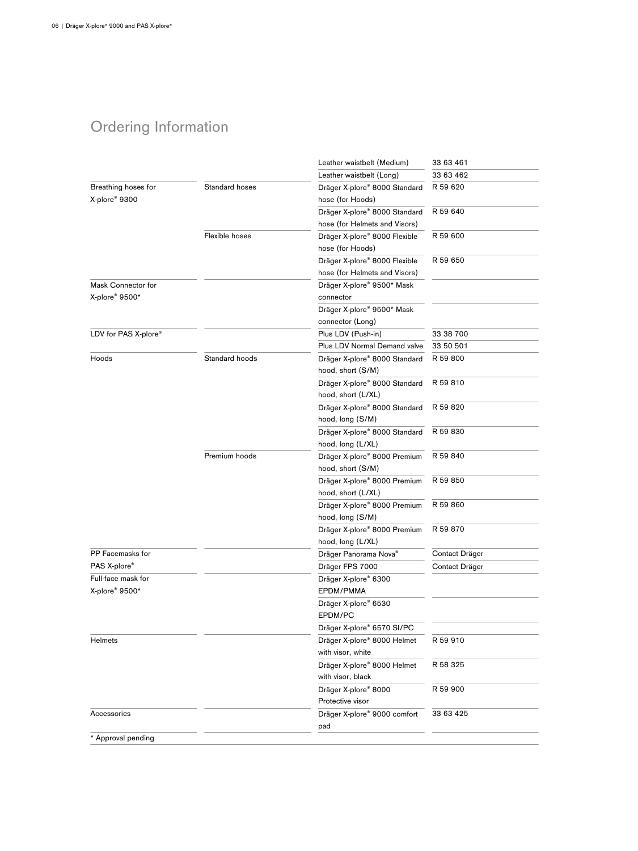# Ordering Information

|                      |                | Leather waistbelt (Medium)    | 33 63 461      |
|----------------------|----------------|-------------------------------|----------------|
|                      |                | Leather waistbelt (Long)      | 33 63 462      |
| Breathing hoses for  | Standard hoses | Dräger X-plore® 8000 Standard | R 59 620       |
| X-plore® 9300        |                | hose (for Hoods)              |                |
|                      |                | Dräger X-plore® 8000 Standard | R 59 640       |
|                      |                | hose (for Helmets and Visors) |                |
|                      | Flexible hoses | Dräger X-plore® 8000 Flexible | R 59 600       |
|                      |                | hose (for Hoods)              |                |
|                      |                | Dräger X-plore® 8000 Flexible | R 59 650       |
|                      |                | hose (for Helmets and Visors) |                |
| Mask Connector for   |                | Dräger X-plore® 9500* Mask    |                |
| X-plore® 9500*       |                | connector                     |                |
|                      |                | Dräger X-plore® 9500* Mask    |                |
|                      |                | connector (Long)              |                |
| LDV for PAS X-plore® |                | Plus LDV (Push-in)            | 33 38 700      |
|                      |                | Plus LDV Normal Demand valve  | 33 50 501      |
| Hoods                | Standard hoods | Dräger X-plore® 8000 Standard | R 59 800       |
|                      |                | hood, short (S/M)             |                |
|                      |                | Dräger X-plore® 8000 Standard | R 59 810       |
|                      |                | hood, short (L/XL)            |                |
|                      |                | Dräger X-plore® 8000 Standard | R 59 820       |
|                      |                | hood, long (S/M)              |                |
|                      |                | Dräger X-plore® 8000 Standard | R 59 830       |
|                      |                | hood, long (L/XL)             |                |
|                      | Premium hoods  | Dräger X-plore® 8000 Premium  | R 59 840       |
|                      |                | hood, short (S/M)             |                |
|                      |                | Dräger X-plore® 8000 Premium  | R 59 850       |
|                      |                | hood, short (L/XL)            |                |
|                      |                | Dräger X-plore® 8000 Premium  | R 59 860       |
|                      |                | hood, long (S/M)              |                |
|                      |                | Dräger X-plore® 8000 Premium  | R 59 870       |
|                      |                | hood, long (L/XL)             |                |
| PP Facemasks for     |                | Dräger Panorama Nova®         | Contact Dräger |
| PAS X-plore®         |                | Dräger FPS 7000               | Contact Dräger |
| Full-face mask for   |                | Dräger X-plore® 6300          |                |
| X-plore® 9500*       |                | EPDM/PMMA                     |                |
|                      |                | Dräger X-plore® 6530          |                |
|                      |                | EPDM/PC                       |                |
|                      |                | Dräger X-plore® 6570 SI/PC    |                |
| Helmets              |                | Dräger X-plore® 8000 Helmet   | R 59 910       |
|                      |                | with visor, white             |                |
|                      |                | Dräger X-plore® 8000 Helmet   | R 58 325       |
|                      |                | with visor, black             |                |
|                      |                | Dräger X-plore® 8000          | R 59 900       |
|                      |                | Protective visor              |                |
| Accessories          |                | Dräger X-plore® 9000 comfort  | 33 63 425      |
|                      |                | pad                           |                |
| * Approval pending   |                |                               |                |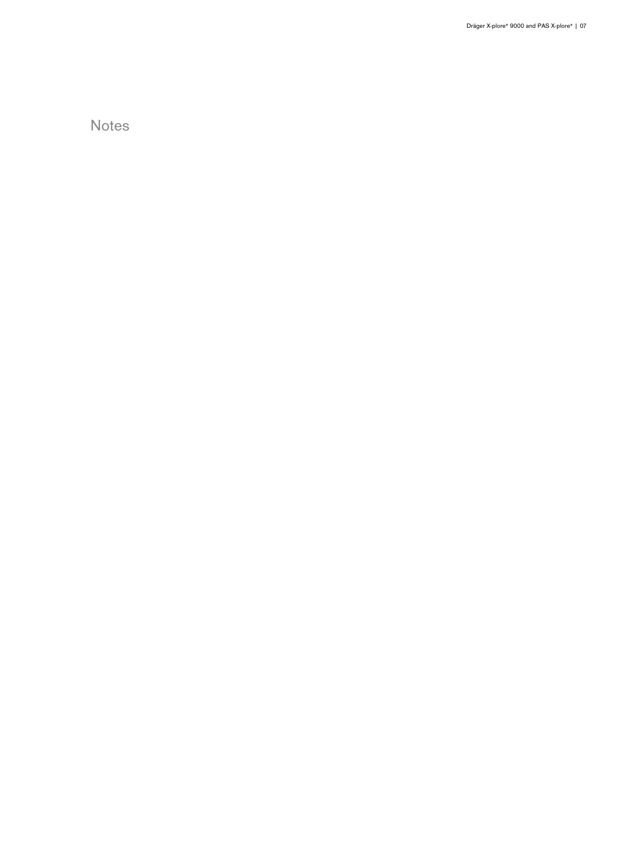Notes